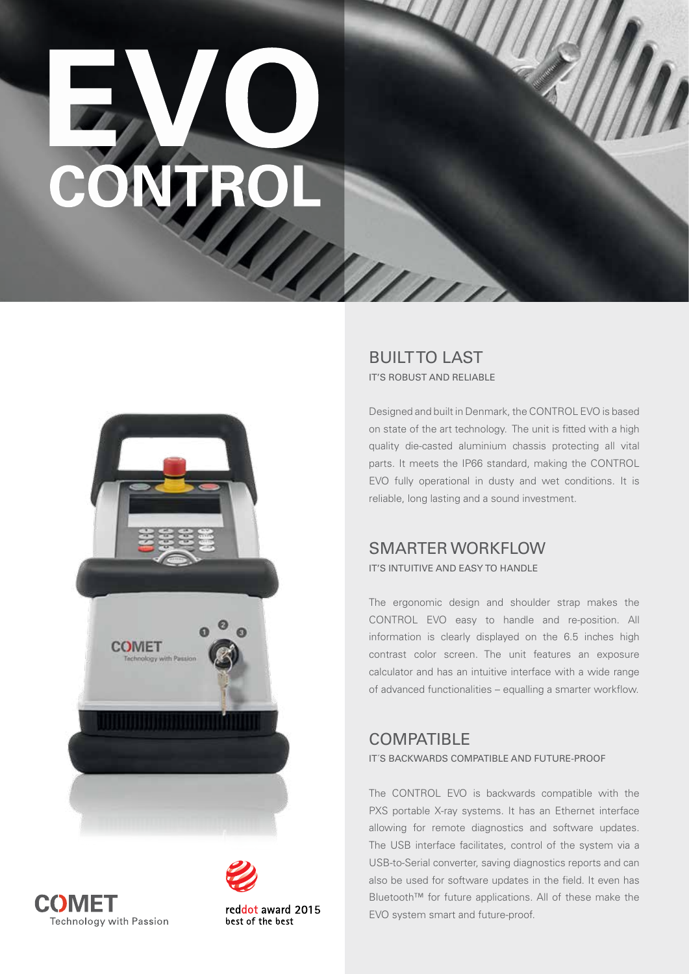# Umm



COMET

Technology with Passion

reddot award 2015 best of the best

### BUILT TO LAST IT'S ROBUST AND RELIABLE

Designed and built in Denmark, the CONTROL EVO is based on state of the art technology. The unit is fitted with a high quality die-casted aluminium chassis protecting all vital parts. It meets the IP66 standard, making the CONTROL EVO fully operational in dusty and wet conditions. It is reliable, long lasting and a sound investment.

### SMARTER WORKFLOW IT'S INTUITIVE AND EASY TO HANDLE

The ergonomic design and shoulder strap makes the CONTROL EVO easy to handle and re-position. All information is clearly displayed on the 6.5 inches high contrast color screen. The unit features an exposure calculator and has an intuitive interface with a wide range of advanced functionalities – equalling a smarter workflow.

### **COMPATIBLE**

IT´S BACKWARDS COMPATIBLE AND FUTURE-PROOF

The CONTROL EVO is backwards compatible with the PXS portable X-ray systems. It has an Ethernet interface allowing for remote diagnostics and software updates. The USB interface facilitates, control of the system via a USB-to-Serial converter, saving diagnostics reports and can also be used for software updates in the field. It even has Bluetooth™ for future applications. All of these make the EVO system smart and future-proof.